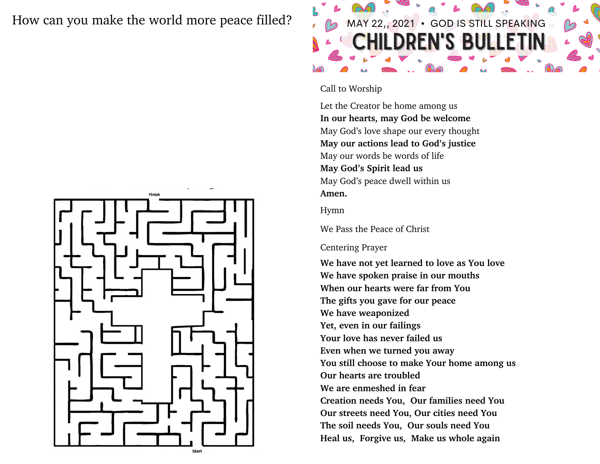### How can you make the world more peace filled?  $\sim$   $\approx$  MAY 22,, 2021 • GOD IS STILL SPEAKING



# **EN'S BULLE**

#### Call to Worship

Let the Creator be home among us **In our hearts, may God be welcome** May God's love shape our every thought **May our actions lead to God's justice** May our words be words of life **May God's Spirit lead us** May God's peace dwell within us **Amen.**

Hymn

We Pass the Peace of Christ

#### Centering Prayer

**We have not yet learned to love as You love We have spoken praise in our mouths When our hearts were far from You The gifts you gave for our peace We have weaponized Yet, even in our failings Your love has never failed us Even when we turned you away You still choose to make Your home among us Our hearts are troubled We are enmeshed in fear Creation needs You, Our families need You Our streets need You, Our cities need You The soil needs You, Our souls need You Heal us, Forgive us, Make us whole again**